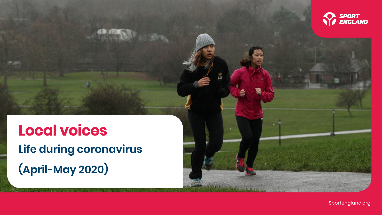

**Local voices Life during coronavirus (April-May 2020)**

Sportengland.org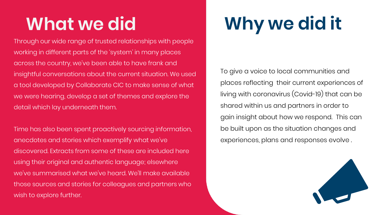Through our wide range of trusted relationships with people working in different parts of the 'system' in many places across the country, we've been able to have frank and insightful conversations about the current situation. We used a tool developed by Collaborate CIC to make sense of what we were hearing, develop a set of themes and explore the detail which lay underneath them.

Time has also been spent proactively sourcing information, anecdotes and stories which exemplify what we've discovered. Extracts from some of these are included here using their original and authentic language; elsewhere we've summarised what we've heard. We'll make available those sources and stories for colleagues and partners who wish to explore further.

# **What we did Why we did it**

To give a voice to local communities and places reflecting their current experiences of living with coronavirus (Covid-19) that can be shared within us and partners in order to gain insight about how we respond. This can be built upon as the situation changes and experiences, plans and responses evolve .

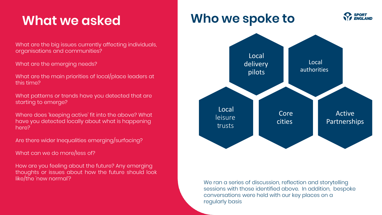# **What we asked**

What are the big issues currently affecting individuals, organisations and communities?

What are the emerging needs?

What are the main priorities of local/place leaders at this time?

What patterns or trends have you detected that are starting to emerge?

Where does 'keeping active' fit into the above? What have you detected locally about what is happening here?

Are there wider Inequalities emerging/surfacing?

What can we do more/less of?

How are you feeling about the future? Any emerging thoughts or issues about how the future should look like/the 'new normal'?

### **Who we spoke to**



**FNGI AND** 

We ran a series of discussion, reflection and storytelling sessions with those identified above. In addition, bespoke conversations were held with our key places on a regularly basis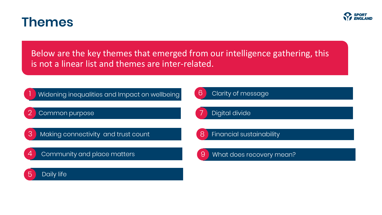

Below are the key themes that emerged from our intelligence gathering, this is not a linear list and themes are inter-related.

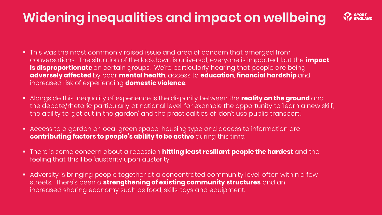# **Widening inequalities and impact on wellbeing**



- **•** This was the most commonly raised issue and area of concern that emerged from conversations. The situation of the lockdown is universal, everyone is impacted, but the **impact is disproportionate** on certain groups. We're particularly hearing that people are being **adversely affected** by poor **mental health**, access to **education**, **financial hardship** and increased risk of experiencing **domestic violence**.
- Alongside this inequality of experience is the disparity between the **reality on the ground** and the debate/rhetoric particularly at national level, for example the opportunity to 'learn a new skill', the ability to 'get out in the garden' and the practicalities of 'don't use public transport'.
- Access to a garden or local green space; housing type and access to information are **contributing factors to people's ability to be active** during this time.
- There is some concern about a recession **hitting least resiliant people the hardest** and the feeling that this'll be 'austerity upon austerity'.
- **EXECT Adversity is bringing people together at a concentrated community level, often within a few** streets. There's been a **strengthening of existing community structures** and an increased sharing economy such as food, skills, toys and equipment.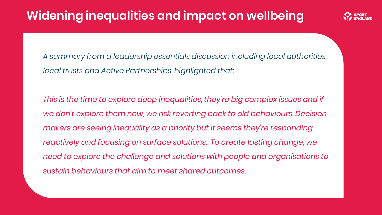### **Widening inequalities and impact on wellbeing**



*A summary from a leadership essentials discussion including local authorities, local trusts and Active Partnerships, highlighted that:*

*This is the time to explore deep inequalities, they're big complex issues and if we don't explore them now, we risk reverting back to old behaviours. Decision makers are seeing inequality as a priority but it seems they're responding reactively and focusing on surface solutions. To create lasting change, we need to explore the challenge and solutions with people and organisations to sustain behaviours that aim to meet shared outcomes.*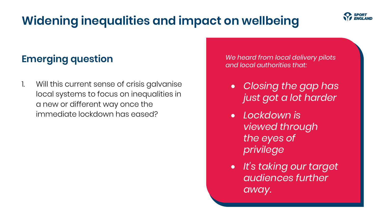# **Widening inequalities and impact on wellbeing**

#### **Emerging question**

1. Will this current sense of crisis galvanise local systems to focus on inequalities in a new or different way once the immediate lockdown has eased?

*We heard from local delivery pilots and local authorities that:*

- *Closing the gap has just got a lot harder*
- *Lockdown is viewed through the eyes of privilege*
- *It's taking our target audiences further away.*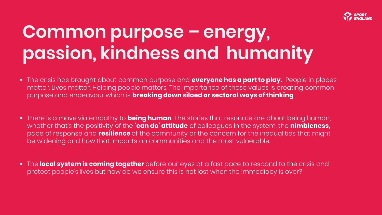

# **Common purpose – energy, passion, kindness and humanity**

- The crisis has brought about common purpose and **everyone has a part to play.** People in places matter. Lives matter. Helping people matters. The importance of these values is creating common purpose and endeavour which is **breaking down siloed or sectoral ways of thinking**.
- There is a move via empathy to **being human**. The stories that resonate are about being human, whether that's the positivity of the **'can do' attitude** of colleagues in the system, the **nimbleness,** pace of response and **resilience** of the community or the concern for the inequalities that might be widening and how that impacts on communities and the most vulnerable.
- The **local system is coming together** before our eyes at a fast pace to respond to the crisis and protect people's lives but how do we ensure this is not lost when the immediacy is over?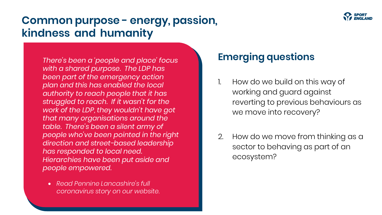

### **Common purpose - energy, passion, kindness and humanity**

*There's been a 'people and place' focus with a shared purpose. The LDP has been part of the emergency action plan and this has enabled the local authority to reach people that it has struggled to reach. If it wasn't for the work of the LDP, they wouldn't have got that many organisations around the table. There's been a silent army of people who've been pointed in the right direction and street-based leadership has responded to local need. Hierarchies have been put aside and people empowered.*

• *Read Pennine Lancashire's full [coronavirus story](https://sportengland-production-files.s3.eu-west-2.amazonaws.com/s3fs-public/2020-07/Pennine%20Lancashire%27s%20coronavirus%20story.pdf?KhnYLlIPodb8K7ewA4yBcEUJrhqdwvzX) on our website.*

#### **Emerging questions**

- 1. How do we build on this way of working and guard against reverting to previous behaviours as we move into recovery?
- 2. How do we move from thinking as a sector to behaving as part of an ecosystem?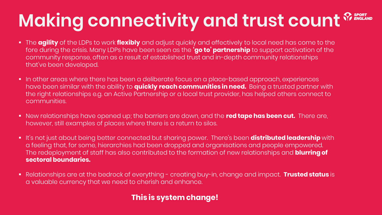# **Making connectivity and trust count**  $^{\circledR}$  **BPGRT**

- The **agility** of the LDPs to work **flexibly** and adjust quickly and effectively to local need has come to the fore during the crisis. Many LDPs have been seen as the **'go to' partnership** to support activation of the community response, often as a result of established trust and in-depth community relationships that've been developed.
- In other areas where there has been a deliberate focus on a place-based approach, experiences have been similar with the ability to **quickly reach communities in need.** Being a trusted partner with the right relationships e.g. an Active Partnership or a local trust provider, has helped others connect to communities.
- New relationships have opened up; the barriers are down, and the **red tape has been cut.** There are, however, still examples of places where there is a return to silos.
- It's not just about being better connected but sharing power. There's been **distributed leadership** with a feeling that, for some, hierarchies had been dropped and organisations and people empowered. The redeployment of staff has also contributed to the formation of new relationships and **blurring of sectoral boundaries.**
- Relationships are at the bedrock of everything creating buy-in, change and impact. **Trusted status** is a valuable currency that we need to cherish and enhance.

#### **This is system change!**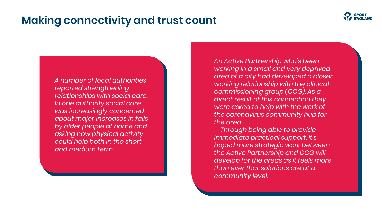### **Making connectivity and trust count**



*A number of local authorities reported strengthening relationships with social care. In one authority social care was increasingly concerned about major increases in falls by older people at home and asking how physical activity could help both in the short and medium term.*

*An Active Partnership who's been working in a small and very deprived area of a city had developed a closer working relationship with the clinical commissioning group (CCG). As a direct result of this connection they were asked to help with the work of the coronavirus community hub for the area.*

 *Through being able to provide immediate practical support, it's hoped more strategic work between the Active Partnership and CCG will develop for the areas as it feels more than ever that solutions are at a community level.*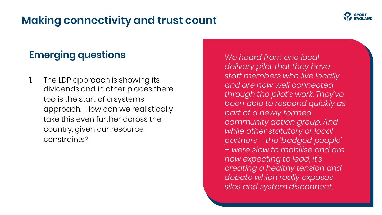### **Making connectivity and trust count**



#### **Emerging questions**

*"* 1. The LDP approach is showing its dividends and in other places there too is the start of a systems approach. How can we realistically take this even further across the country, given our resource constraints?

*We heard from one local delivery pilot that they have staff members who live locally and are now well connected through the pilot's work. They've been able to respond quickly as part of a newly formed community action group. And while other statutory or local partners – the 'badged people' – were slow to mobilise and are now expecting to lead, it's creating a healthy tension and debate which really exposes silos and system disconnect.*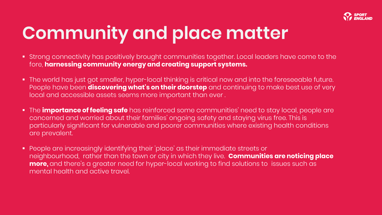

# **Community and place matter**

- **EXT** Strong connectivity has positively brought communities together. Local leaders have come to the fore, **harnessing community energy and creating support systems.**
- The world has just got smaller, hyper-local thinking is critical now and into the foreseeable future. People have been **discovering what's on their doorstep** and continuing to make best use of very local and accessible assets seems more important than ever .
- The **importance of feeling safe** has reinforced some communities' need to stay local, people are concerned and worried about their families' ongoing safety and staying virus free. This is particularly significant for vulnerable and poorer communities where existing health conditions are prevalent.
- People are increasingly identifying their 'place' as their immediate streets or neighbourhood, rather than the town or city in which they live. **Communities are noticing place more,** and there's a greater need for hyper-local working to find solutions to issues such as mental health and active travel.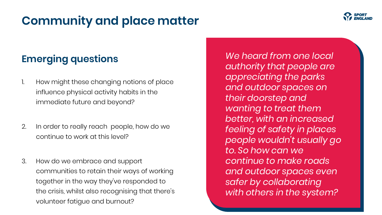### **Community and place matter**

#### **Emerging questions**

- 1. How might these changing notions of place influence physical activity habits in the immediate future and beyond?
- 2. In order to really reach people, how do we continue to work at this level?
- 3. How do we embrace and support communities to retain their ways of working together in the way they've responded to the crisis, whilst also recognising that there's volunteer fatigue and burnout?

*We heard from one local authority that people are appreciating the parks and outdoor spaces on their doorstep and wanting to treat them better, with an increased feeling of safety in places people wouldn't usually go to. So how can we continue to make roads and outdoor spaces even safer by collaborating with others in the system?*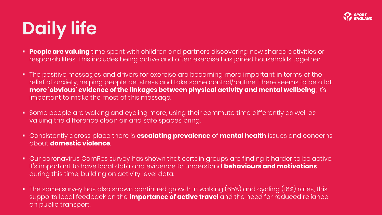

# **Daily life**

- **People are valuing** time spent with children and partners discovering new shared activities or responsibilities. This includes being active and often exercise has joined households together.
- **.** The positive messages and drivers for exercise are becoming more important in terms of the relief of anxiety, helping people de-stress and take some control/routine. There seems to be a lot **more 'obvious' evidence of the linkages between physical activity and mental wellbeing**; it's important to make the most of this message.
- Some people are walking and cycling more, using their commute time differently as well as valuing the difference clean air and safe spaces bring.
- Consistently across place there is **escalating prevalence** of **mental health** issues and concerns about **domestic violence**.
- Our coronavirus ComRes survey has shown that certain groups are finding it harder to be active. It's important to have local data and evidence to understand **behaviours and motivations** during this time, building on activity level data.
- $\bullet$  The same survey has also shown continued growth in walking (65%) and cycling (16%) rates, this supports local feedback on the **importance of active travel** and the need for reduced reliance on public transport.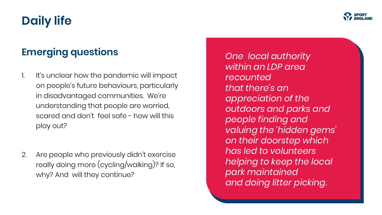# **Daily life**

### **Emerging questions**

- 1. It's unclear how the pandemic will impact on people's future behaviours, particularly in disadvantaged communities. We're understanding that people are worried, scared and don't feel safe - how will this play out?
- 2. Are people who previously didn't exercise really doing more (cycling/walking)? If so, why? And will they continue?

*One local authority within an LDP area recounted that there's an appreciation of the outdoors and parks and people finding and valuing the 'hidden gems' on their doorstep which has led to volunteers helping to keep the local park maintained and doing litter picking.*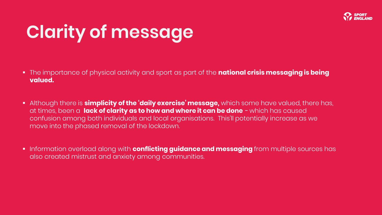

# **Clarity of message**

- The importance of physical activity and sport as part of the **national crisis messaging is being valued.**
- Although there is **simplicity of the 'daily exercise' message,** which some have valued, there has, at times, been a **lack of clarity as to how and where it can be done** - which has caused confusion among both individuals and local organisations. This'll potentially increase as we move into the phased removal of the lockdown.
- Information overload along with **conflicting guidance and messaging** from multiple sources has also created mistrust and anxiety among communities.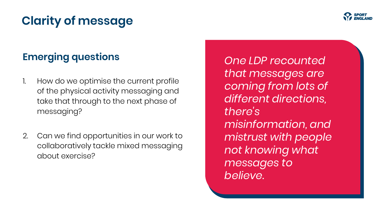# **Clarity of message**

### **Emerging questions**

- 1. How do we optimise the current profile of the physical activity messaging and take that through to the next phase of messaging?
- 2. Can we find opportunities in our work to collaboratively tackle mixed messaging about exercise?

*One LDP recounted that messages are coming from lots of different directions, there's misinformation, and mistrust with people not knowing what messages to believe.*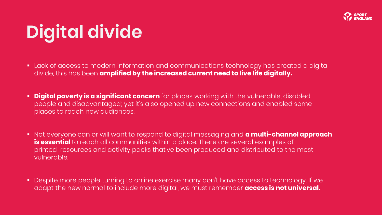

# **Digital divide**

- Lack of access to modern information and communications technology has created a digital divide, this has been **amplified by the increased current need to live life digitally.**
- **Digital poverty is a significant concern** for places working with the vulnerable, disabled people and disadvantaged; yet it's also opened up new connections and enabled some places to reach new audiences.
- Not everyone can or will want to respond to digital messaging and **a multi-channel approach is essential** to reach all communities within a place. There are several examples of printed resources and activity packs that've been produced and distributed to the most vulnerable.
- Despite more people turning to online exercise many don't have access to technology. If we adapt the new normal to include more digital, we must remember **access is not universal.**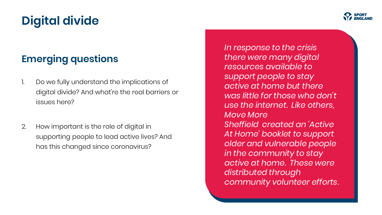# **Digital divide**

### **Emerging questions**

- 1. Do we fully understand the implications of digital divide? And what're the real barriers or issues here?
- 2. How important is the role of digital in supporting people to lead active lives? And has this changed since coronavirus?

*In response to the crisis there were many digital resources available to support people to stay active at home but there was little for those who don't use the internet. Like others, Move More Sheffield created an 'Active At Home' booklet to support older and vulnerable people in the community to stay active at home. These were distributed through community volunteer efforts*.

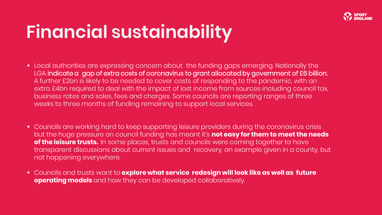

# **Financial sustainability**

- Local authorities are expressing concern about the funding gaps emerging. Nationally the LGA indicate a gap of extra costs of coronavirus to grant allocated by government of £6 billion. A further £2bn is likely to be needed to cover costs of responding to the pandemic, with an extra £4bn required to deal with the impact of lost income from sources including council tax, business rates and sales, fees and charges. Some councils are reporting ranges of three weeks to three months of funding remaining to support local services.
- Councils are working hard to keep supporting leisure providers during the coronavirus crisis but the huge pressure on council funding has meant it's **not easy for them to meet the needs of the leisure trusts.** In some places, trusts and councils were coming together to have transparent discussions about current issues and recovery, an example given in a county, but not happening everywhere.
- Councils and trusts want to **explore what service redesign will look like as well as future operating models** and how they can be developed collaboratively.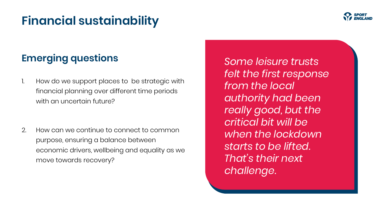### **Financial sustainability**



### **Emerging questions**

- 1. How do we support places to be strategic with financial planning over different time periods with an uncertain future?
- 2. How can we continue to connect to common purpose, ensuring a balance between economic drivers, wellbeing and equality as we move towards recovery?

*Some leisure trusts felt the first response from the local authority had been really good, but the critical bit will be when the lockdown starts to be lifted. That's their next challenge*.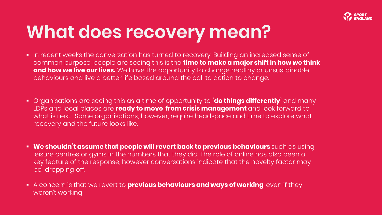

# **What does recovery mean?**

- **.** In recent weeks the conversation has turned to recovery. Building an increased sense of common purpose, people are seeing this is the **time to make a major shift in how we think and how we live our lives.** We have the opportunity to change healthy or unsustainable behaviours and live a better life based around the call to action to change.
- Organisations are seeing this as a time of opportunity to **'do things differently'** and many LDPs and local places are **ready to move from crisis management** and look forward to what is next. Some organisations, however, require headspace and time to explore what recovery and the future looks like.
- **We shouldn't assume that people will revert back to previous behaviours** such as using leisure centres or gyms in the numbers that they did. The role of online has also been a key feature of the response, however conversations indicate that the novelty factor may be dropping off.
- A concern is that we revert to **previous behaviours and ways of working**, even if they weren't working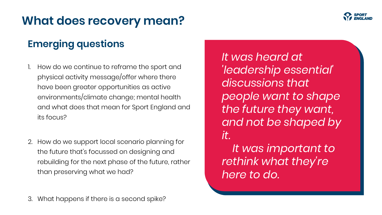

### **What does recovery mean?**

### **Emerging questions**

- 1. How do we continue to reframe the sport and physical activity message/offer where there have been greater opportunities as active environments/climate change; mental health and what does that mean for Sport England and its focus?
- 2. How do we support local scenario planning for the future that's focussed on designing and rebuilding for the next phase of the future, rather than preserving what we had?

*people want to shape the future they want, and not be shaped by it. It was important to rethink what they're here to do.*

*It was heard at* 

*discussions that* 

*'leadership essential'*

3. What happens if there is a second spike?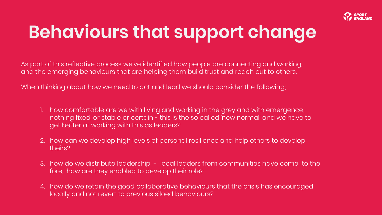

# **Behaviours that support change**

As part of this reflective process we've identified how people are connecting and working, and the emerging behaviours that are helping them build trust and reach out to others.

When thinking about how we need to act and lead we should consider the following;

- 1. how comfortable are we with living and working in the grey and with emergence; nothing fixed, or stable or certain - this is the so called 'new normal' and we have to get better at working with this as leaders?
- 2. how can we develop high levels of personal resilience and help others to develop theirs?
- 3. how do we distribute leadership local leaders from communities have come to the fore, how are they enabled to develop their role?
- 4. how do we retain the good collaborative behaviours that the crisis has encouraged locally and not revert to previous siloed behaviours?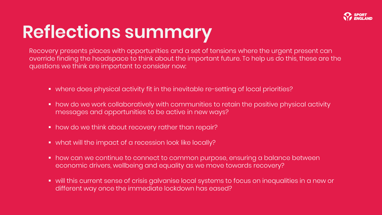

# **Reflections summary**

Recovery presents places with opportunities and a set of tensions where the urgent present can override finding the headspace to think about the important future. To help us do this, these are the questions we think are important to consider now:

- where does physical activity fit in the inevitable re-setting of local priorities?
- how do we work collaboratively with communities to retain the positive physical activity messages and opportunities to be active in new ways?
- how do we think about recovery rather than repair?
- what will the impact of a recession look like locally?
- how can we continue to connect to common purpose, ensuring a balance between economic drivers, wellbeing and equality as we move towards recovery?
- will this current sense of crisis galvanise local systems to focus on inequalities in a new or different way once the immediate lockdown has eased?